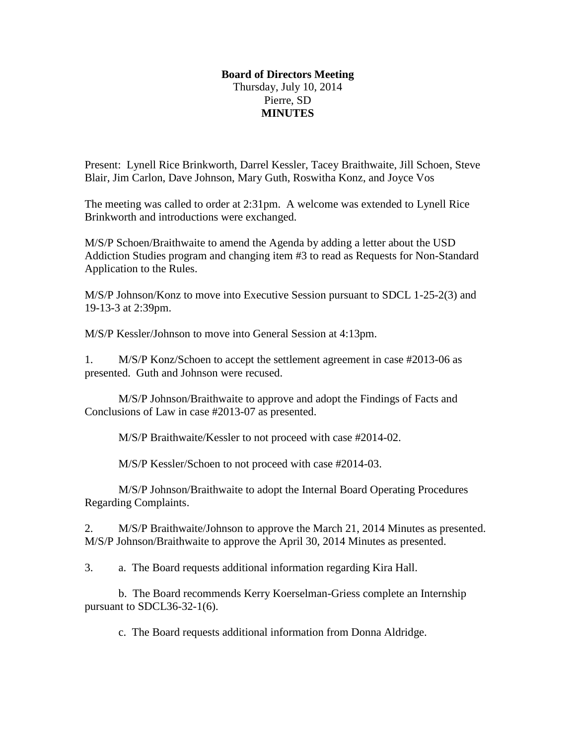## **Board of Directors Meeting** Thursday, July 10, 2014 Pierre, SD **MINUTES**

Present: Lynell Rice Brinkworth, Darrel Kessler, Tacey Braithwaite, Jill Schoen, Steve Blair, Jim Carlon, Dave Johnson, Mary Guth, Roswitha Konz, and Joyce Vos

The meeting was called to order at 2:31pm. A welcome was extended to Lynell Rice Brinkworth and introductions were exchanged.

M/S/P Schoen/Braithwaite to amend the Agenda by adding a letter about the USD Addiction Studies program and changing item #3 to read as Requests for Non-Standard Application to the Rules.

M/S/P Johnson/Konz to move into Executive Session pursuant to SDCL 1-25-2(3) and 19-13-3 at 2:39pm.

M/S/P Kessler/Johnson to move into General Session at 4:13pm.

1. M/S/P Konz/Schoen to accept the settlement agreement in case #2013-06 as presented. Guth and Johnson were recused.

M/S/P Johnson/Braithwaite to approve and adopt the Findings of Facts and Conclusions of Law in case #2013-07 as presented.

M/S/P Braithwaite/Kessler to not proceed with case #2014-02.

M/S/P Kessler/Schoen to not proceed with case #2014-03.

M/S/P Johnson/Braithwaite to adopt the Internal Board Operating Procedures Regarding Complaints.

2. M/S/P Braithwaite/Johnson to approve the March 21, 2014 Minutes as presented. M/S/P Johnson/Braithwaite to approve the April 30, 2014 Minutes as presented.

3. a. The Board requests additional information regarding Kira Hall.

b. The Board recommends Kerry Koerselman-Griess complete an Internship pursuant to SDCL36-32-1(6).

c. The Board requests additional information from Donna Aldridge.